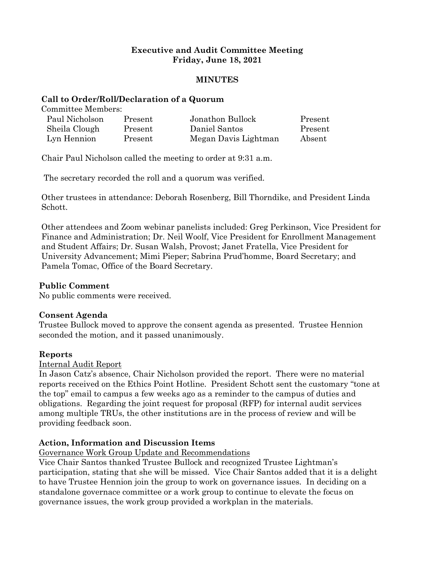# **Executive and Audit Committee Meeting Friday, June 18, 2021**

#### **MINUTES**

#### **Call to Order/Roll/Declaration of a Quorum**

Committee Members:

| Paul Nicholson | Present | Jonathon Bullock     | Present |
|----------------|---------|----------------------|---------|
| Sheila Clough  | Present | Daniel Santos        | Present |
| Lyn Hennion    | Present | Megan Davis Lightman | Absent  |

Chair Paul Nicholson called the meeting to order at 9:31 a.m.

The secretary recorded the roll and a quorum was verified.

Other trustees in attendance: Deborah Rosenberg, Bill Thorndike, and President Linda Schott.

Other attendees and Zoom webinar panelists included: Greg Perkinson, Vice President for Finance and Administration; Dr. Neil Woolf, Vice President for Enrollment Management and Student Affairs; Dr. Susan Walsh, Provost; Janet Fratella, Vice President for University Advancement; Mimi Pieper; Sabrina Prud'homme, Board Secretary; and Pamela Tomac, Office of the Board Secretary.

## **Public Comment**

No public comments were received.

## **Consent Agenda**

Trustee Bullock moved to approve the consent agenda as presented. Trustee Hennion seconded the motion, and it passed unanimously.

## **Reports**

#### Internal Audit Report

In Jason Catz's absence, Chair Nicholson provided the report. There were no material reports received on the Ethics Point Hotline. President Schott sent the customary "tone at the top" email to campus a few weeks ago as a reminder to the campus of duties and obligations. Regarding the joint request for proposal (RFP) for internal audit services among multiple TRUs, the other institutions are in the process of review and will be providing feedback soon.

## **Action, Information and Discussion Items**

#### Governance Work Group Update and Recommendations

Vice Chair Santos thanked Trustee Bullock and recognized Trustee Lightman's participation, stating that she will be missed. Vice Chair Santos added that it is a delight to have Trustee Hennion join the group to work on governance issues. In deciding on a standalone governace committee or a work group to continue to elevate the focus on governance issues, the work group provided a workplan in the materials.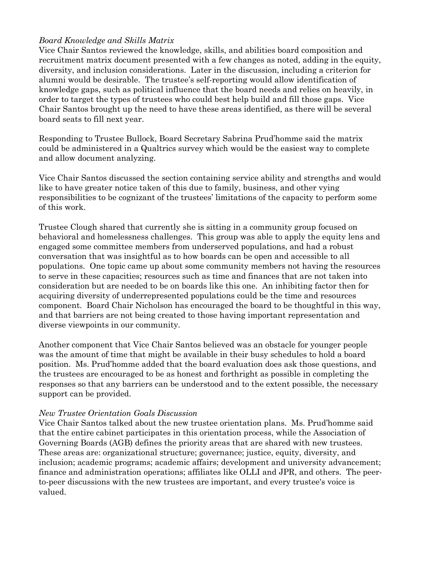# *Board Knowledge and Skills Matrix*

Vice Chair Santos reviewed the knowledge, skills, and abilities board composition and recruitment matrix document presented with a few changes as noted, adding in the equity, diversity, and inclusion considerations. Later in the discussion, including a criterion for alumni would be desirable. The trustee's self-reporting would allow identification of knowledge gaps, such as political influence that the board needs and relies on heavily, in order to target the types of trustees who could best help build and fill those gaps. Vice Chair Santos brought up the need to have these areas identified, as there will be several board seats to fill next year.

Responding to Trustee Bullock, Board Secretary Sabrina Prud'homme said the matrix could be administered in a Qualtrics survey which would be the easiest way to complete and allow document analyzing.

Vice Chair Santos discussed the section containing service ability and strengths and would like to have greater notice taken of this due to family, business, and other vying responsibilities to be cognizant of the trustees' limitations of the capacity to perform some of this work.

Trustee Clough shared that currently she is sitting in a community group focused on behavioral and homelessness challenges. This group was able to apply the equity lens and engaged some committee members from underserved populations, and had a robust conversation that was insightful as to how boards can be open and accessible to all populations. One topic came up about some community members not having the resources to serve in these capacities; resources such as time and finances that are not taken into consideration but are needed to be on boards like this one. An inhibiting factor then for acquiring diversity of underrepresented populations could be the time and resources component. Board Chair Nicholson has encouraged the board to be thoughtful in this way, and that barriers are not being created to those having important representation and diverse viewpoints in our community.

Another component that Vice Chair Santos believed was an obstacle for younger people was the amount of time that might be available in their busy schedules to hold a board position. Ms. Prud'homme added that the board evaluation does ask those questions, and the trustees are encouraged to be as honest and forthright as possible in completing the responses so that any barriers can be understood and to the extent possible, the necessary support can be provided.

## *New Trustee Orientation Goals Discussion*

Vice Chair Santos talked about the new trustee orientation plans. Ms. Prud'homme said that the entire cabinet participates in this orientation process, while the Association of Governing Boards (AGB) defines the priority areas that are shared with new trustees. These areas are: organizational structure; governance; justice, equity, diversity, and inclusion; academic programs; academic affairs; development and university advancement; finance and administration operations; affiliates like OLLI and JPR, and others. The peerto-peer discussions with the new trustees are important, and every trustee's voice is valued.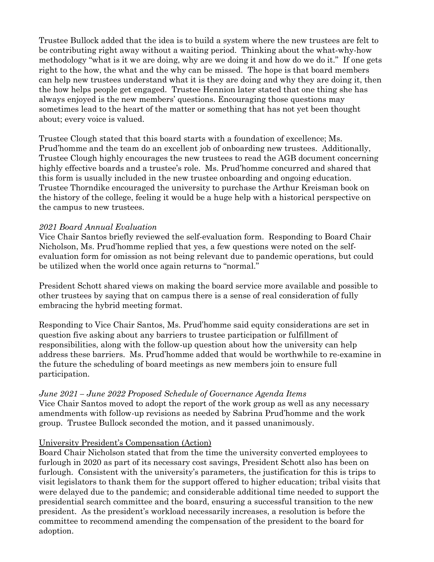Trustee Bullock added that the idea is to build a system where the new trustees are felt to be contributing right away without a waiting period. Thinking about the what-why-how methodology "what is it we are doing, why are we doing it and how do we do it." If one gets right to the how, the what and the why can be missed. The hope is that board members can help new trustees understand what it is they are doing and why they are doing it, then the how helps people get engaged. Trustee Hennion later stated that one thing she has always enjoyed is the new members' questions. Encouraging those questions may sometimes lead to the heart of the matter or something that has not yet been thought about; every voice is valued.

Trustee Clough stated that this board starts with a foundation of excellence; Ms. Prud'homme and the team do an excellent job of onboarding new trustees. Additionally, Trustee Clough highly encourages the new trustees to read the AGB document concerning highly effective boards and a trustee's role. Ms. Prud'homme concurred and shared that this form is usually included in the new trustee onboarding and ongoing education. Trustee Thorndike encouraged the university to purchase the Arthur Kreisman book on the history of the college, feeling it would be a huge help with a historical perspective on the campus to new trustees.

## *2021 Board Annual Evaluation*

Vice Chair Santos briefly reviewed the self-evaluation form. Responding to Board Chair Nicholson, Ms. Prud'homme replied that yes, a few questions were noted on the selfevaluation form for omission as not being relevant due to pandemic operations, but could be utilized when the world once again returns to "normal."

President Schott shared views on making the board service more available and possible to other trustees by saying that on campus there is a sense of real consideration of fully embracing the hybrid meeting format.

Responding to Vice Chair Santos, Ms. Prud'homme said equity considerations are set in question five asking about any barriers to trustee participation or fulfillment of responsibilities, along with the follow-up question about how the university can help address these barriers. Ms. Prud'homme added that would be worthwhile to re-examine in the future the scheduling of board meetings as new members join to ensure full participation.

# *June 2021 – June 2022 Proposed Schedule of Governance Agenda Items*

Vice Chair Santos moved to adopt the report of the work group as well as any necessary amendments with follow-up revisions as needed by Sabrina Prud'homme and the work group. Trustee Bullock seconded the motion, and it passed unanimously.

## University President's Compensation (Action)

Board Chair Nicholson stated that from the time the university converted employees to furlough in 2020 as part of its necessary cost savings, President Schott also has been on furlough. Consistent with the university's parameters, the justification for this is trips to visit legislators to thank them for the support offered to higher education; tribal visits that were delayed due to the pandemic; and considerable additional time needed to support the presidential search committee and the board, ensuring a successful transition to the new president. As the president's workload necessarily increases, a resolution is before the committee to recommend amending the compensation of the president to the board for adoption.